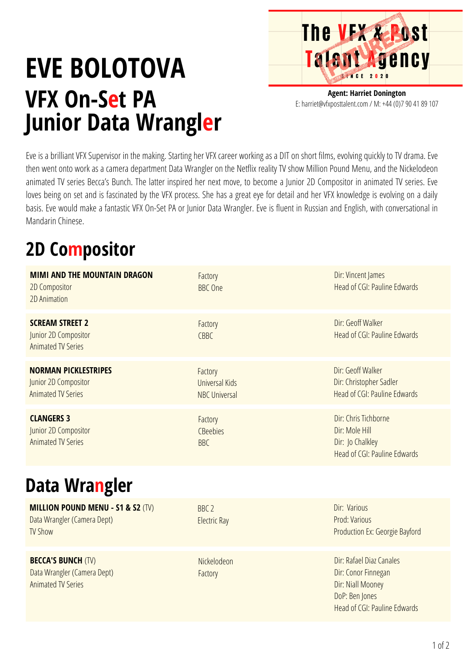

## **EVE BOLOTOVA VFX On-Set PA Junior Data Wrangler**

**Agent: Harriet Donington** E: harriet@vfxposttalent.com / M:+44(0)7904189107

Eve is a brilliant VFX Supervisor in the making. Starting her VFX career working as a DIT on short films, evolving quickly to TV drama. Eve then went onto work as a camera department Data Wrangler on the Netflix reality TV show Million Pound Menu, and the Nickelodeon animated TV series Becca's Bunch. The latter inspired her next move, to become a Junior 2D Compositor in animated TV series. Eve loves being on set and is fascinated by the VFX process. She has a great eye for detail and her VFX knowledge is evolving on a daily basis. Eve would make a fantastic VFX On-Set PA or Junior Data Wrangler. Eve is fluent in Russian and English, with conversational in Mandarin Chinese.

## **2D Compositor**

| <b>MIMI AND THE MOUNTAIN DRAGON</b><br>2D Compositor<br>2D Animation                          | Factory<br><b>BBC</b> One                                | Dir: Vincent James<br><b>Head of CGI: Pauline Edwards</b>                                                              |
|-----------------------------------------------------------------------------------------------|----------------------------------------------------------|------------------------------------------------------------------------------------------------------------------------|
| <b>SCREAM STREET 2</b><br>Junior 2D Compositor<br><b>Animated TV Series</b>                   | Factory<br>CBBC                                          | Dir: Geoff Walker<br>Head of CGI: Pauline Edwards                                                                      |
| <b>NORMAN PICKLESTRIPES</b><br>Junior 2D Compositor<br><b>Animated TV Series</b>              | Factory<br><b>Universal Kids</b><br><b>NBC Universal</b> | Dir: Geoff Walker<br>Dir: Christopher Sadler<br><b>Head of CGI: Pauline Edwards</b>                                    |
| <b>CLANGERS 3</b><br>Junior 2D Compositor<br><b>Animated TV Series</b>                        | Factory<br>CBeebies<br><b>BBC</b>                        | Dir: Chris Tichborne<br>Dir: Mole Hill<br>Dir: Jo Chalkley<br>Head of CGI: Pauline Edwards                             |
| Data Wrangler                                                                                 |                                                          |                                                                                                                        |
| <b>MILLION POUND MENU - S1 &amp; S2 (TV)</b><br>Data Wrangler (Camera Dept)<br><b>TV Show</b> | BBC <sub>2</sub><br><b>Electric Ray</b>                  | Dir: Various<br>Prod: Various<br>Production Ex: Georgie Bayford                                                        |
| <b>BECCA'S BUNCH (TV)</b><br>Data Wrangler (Camera Dept)<br><b>Animated TV Series</b>         | Nickelodeon<br>Factory                                   | Dir: Rafael Diaz Canales<br>Dir: Conor Finnegan<br>Dir: Niall Mooney<br>DoP: Ben Jones<br>Head of CGI: Pauline Edwards |